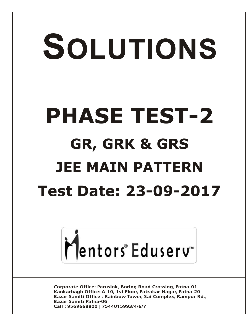# SOLUTIONS **PHASE TEST-2 GR, GRK & GRS JEE MAIN PATTERN Test Date: 23-09-2017**



**Corporate Office: Paruslok, Boring Road Crossing, Patna-01** Kankarbagh Office: A-10, 1st Floor, Patrakar Nagar, Patna-20 Bazar Samiti Office: Rainbow Tower, Sai Complex, Rampur Rd., **Bazar Samiti Patna-06** Call: 9569668800 | 7544015993/4/6/7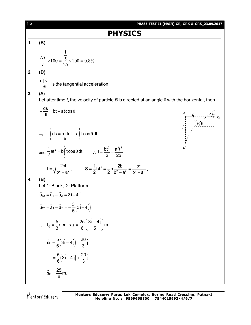| 2 <sub>1</sub> | PHASE TEST-II (MAIN) GR, GRK & GRS_23.09.2017                                                                                     |
|----------------|-----------------------------------------------------------------------------------------------------------------------------------|
|                | <b>PHYSICS</b>                                                                                                                    |
| 1.             | (B)                                                                                                                               |
|                | $\frac{\Delta T}{T} \times 100 = \frac{\frac{1}{5}}{25} \times 100 = 0.8\%$                                                       |
| 2.             | (D)                                                                                                                               |
|                | $\frac{d \dot{v} }{dt}$ is the tangential acceleration.                                                                           |
| 3.             | (A)<br>Let after time t, the velocity of particle B is directed at an angle $\theta$ with the horizontal, then                    |
|                | $-\frac{ds}{dt} = bt - at \cos \theta$                                                                                            |
|                | $\Rightarrow -\int_{0}^{b} ds = b \int_{0}^{b} t dt - a \int_{0}^{b} t cos \theta dt$                                             |
|                | and $\frac{1}{2}$ at <sup>2</sup> = b <sup>t</sup> $\int$ t cos $\theta$ dt $\therefore$ $I = \frac{bt^2}{2} - \frac{a^2t^2}{2h}$ |
|                | $t = \sqrt{\frac{2bl}{b^2 - a^2}}$ , $S = \frac{1}{2}bt^2 = \frac{1}{2}b\frac{2bl}{b^2 - a^2} = \frac{b^2l}{b^2 - a^2}$ .         |
| 4.             | (B)<br>Let 1: Block, 2: Platform                                                                                                  |
|                | $\vec{u}_{12} = \vec{u}_1 - \vec{u}_2 = 3\hat{i} - 4\hat{j}$                                                                      |
|                | $\vec{u}_{12} = \vec{a}_1 - \vec{a}_2 = -\frac{3}{5} (3\hat{i} - 4\hat{j})$                                                       |
|                | $t_0 = \frac{5}{3}$ sec, $\vec{s}_{12} = \frac{25}{6} \left( \frac{3\hat{i} - 4\hat{j}}{5} \right)$ m                             |
|                | $\therefore$ $\vec{s}_k = \frac{5}{6} (3\hat{i} - 4\hat{j}) + \frac{20}{3} \hat{j}$                                               |
|                | $=\frac{5}{6}(3\hat{i}+4\hat{j})+\frac{20}{3}\hat{j}$                                                                             |
|                | $\therefore$ $\vec{s}_k = \frac{25}{6}$ m.                                                                                        |
|                |                                                                                                                                   |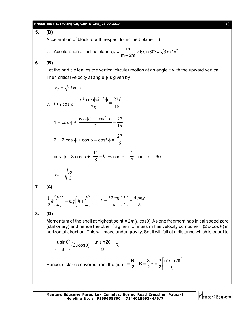#### **PHASE TEST-II (MAIN) GR, GRK & GRS\_23.09.2017** [ **3** ]

### **5. (B)**

Acceleration of block *m* with respect to inclined plane = 6

 $\therefore$  Acceleration of incline plane  $a_2 = \frac{11}{m+2m} \times 6 \sin 60^\circ = \sqrt{3} m/s^2$  $a_2 = \frac{m}{2} \times 6 \sin 60^\circ = \sqrt{3} m/s^2$ .  $m + 2m$  $=\frac{10}{\sqrt{3}} \times 6 \sin 60^{\circ}$  $\ddot{}$ 

#### **6. (B)**

Let the particle leaves the vertical circular motion at an angle  $\phi$  with the upward vertical. Then critical velocity at angle  $\phi$  is given by

$$
v_c = \sqrt{gl\cos\phi}
$$
  
\n
$$
\therefore l + l\cos\phi + \frac{gl\cos\phi\sin^2\phi}{2g} = \frac{27l}{16}
$$
  
\n
$$
1 + \cos\phi + \frac{\cos\phi(1 - \cos^2\phi)}{2} = \frac{27}{16}
$$
  
\n
$$
2 + 2\cos\phi + \cos\phi - \cos^3\phi = \frac{27}{8}
$$
  
\n
$$
\cos^3\phi - 3\cos\phi + \frac{11}{8} = 0 \Rightarrow \cos\phi = \frac{1}{2} \text{ or } \phi = 60^\circ.
$$
  
\n
$$
v_c = \sqrt{\frac{gl}{2}}.
$$
  
\n**(A)**  
\n
$$
\frac{1}{2}k\left(\frac{h}{4}\right)^2 = mg\left(h + \frac{h}{4}\right), \qquad k = \frac{32mg}{h}\left(\frac{5}{4}\right) = \frac{40mg}{h}.
$$

**8. (D)**

**7. (A)**

Momentum of the shell at highest point =  $2m(u \cos\theta)$ . As one fragment has initial speed zero (stationary) and hence the other fragment of mass m has velocity component (2  $u \cos \theta$ ) in horizontal direction. This will move under gravity, So, it will fall at a distance which is equal to

$$
\left(\frac{\mathsf{u}\sin\theta}{g}\right)(2\mathsf{u}\cos\theta) = \frac{\mathsf{u}^2\sin 2\theta}{g} = \mathsf{R}
$$

Hence, distance covered from the gun  $=$   $\frac{R}{2}$  + R =  $\frac{3}{2}$  R =  $\frac{3}{2}$   $\left| \frac{u^2 \sin 2u}{dx^2} \right|$ 2 2 2 g  $=\frac{R}{2}+R=\frac{3}{2}R=\frac{3}{2}\left[\frac{u^2 \sin 2\theta}{g}\right].$ 

**Mentors Eduserv: Parus Lok Complex, Boring Road Crossing, Patna-1 Helpline No. : 9569668800 | 7544015993/4/6/7**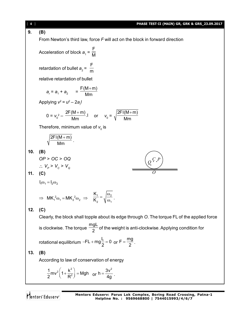[ **4** ] **PHASE TEST-II (MAIN) GR, GRK & GRS\_23.09.2017 9. (B)** From Newton's third law, force *F* will act on the block in forward direction F Acceleration of block  $a_{1}$  = M F retardation of bullet  $a_{2}$  = m relative retardation of bullet  $F(M+m)$  $\ddot{}$  $a_r = a_1 + a_2 = 0$ Mm Applying *v* 2 = *u* 2 – 2*a<sup>r</sup> l*  $0 = v_0^2 - \frac{2F(M+m)}{Mm}$ .  $\ddot{}$ 2FI(M+m)  $\ddot{}$ or  $v_0 =$ Mm Mm Therefore, minimum value of  $\boldsymbol{v}_{_{\boldsymbol{0}}}$  is  $2FI(M+m)$  $^{+}$ . Mm **10. (B)** *OP* > *OC* > *OQ C P Q*  $V_{\rho}$  >  $V_{\rho}$  >  $V_{\rho}$ www.www.com **11. (C)** *O*  $I_1 \omega_1 = I_2 \omega_2$ K  $=\sqrt{\frac{\omega}{\epsilon}}$  $\Rightarrow$  MK<sub>1</sub><sup>2</sup> $\omega_1 = MK_2^2 \omega_2 \Rightarrow \frac{K_1}{K_2} = \sqrt{\frac{\omega_2}{\omega_1}}$  $\frac{1}{\omega_1}$  . K 2  $V^{\omega_1}$ **12. (C)** Clearly, the block shall topple about its edge through *O*. The torque FL of the applied force mgL is clockwise. The torque  $\frac{3}{2}$  of the weight is anti-clockwise. Applying condition for  $-FL + mg \frac{L}{2} = 0$  or  $F = \frac{mg}{2}$  $FL + mg = 0$  $=\frac{119}{2}$ . rotational equilibrium **13. (B)** According to law of conservation of energy  $_{2}$ ( $_{4}$ ,  $_{8}$ )  $h = \frac{3v^2}{4}$  $\frac{1}{2}$ mv<sup>2</sup>  $\left(1+\frac{k^2}{R^2}\right)$  = Mgh  $\left(1+\frac{k^2}{R^2}\right)$  = Mgh or  $=\frac{3x}{4g}$ .  $2^{\cdots}$  ( R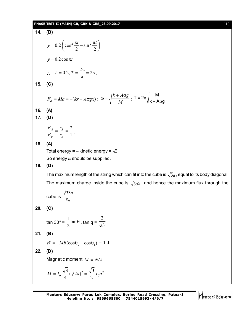#### **PHASE TEST-II (MAIN) GR, GRK & GRS\_23.09.2017** [ **5** ]

14. (B)  
\n
$$
y = 0.2 \left(\cos^2 \frac{\pi t}{2} - \sin^2 \frac{\pi t}{2}\right)
$$
  
\n $y = 0.2 \cos \pi t$   
\n $\therefore A = 0.2, T = \frac{2\pi}{\pi} = 2s$ .  
\n15. (C)  
\n $F_R = Ma = -(kx + A\sigma g x)$ ;  $\omega = \sqrt{\frac{k + A\sigma g}{M}}$ ;  $T = 2\pi \sqrt{\frac{M}{k + A\sigma g}}$ .  
\n16. (A)  
\n17. (D)  
\n $\frac{E_A}{E_B} = \frac{r_B}{r_A} = \frac{2}{1}$ .  
\n18. (A)  
\nTotal energy = - kinetic energy = -E  
\nSo energy E should be supplied.  
\n19. (D)  
\nThe maximum length of the string which can fit into the cube is  $\sqrt{3}a$ , equal to its body diagonal.  
\nThe maximum charge inside the cube is  $\sqrt{3}a\lambda$ , and hence the maximum flux through the cube is  $\frac{\sqrt{3}ka}{\epsilon_0}$ .  
\n20. (C)  
\n $\tan 30^\circ = \frac{1}{2} \tan \theta$ ,  $\tan q = \frac{2}{\sqrt{3}}$ .  
\n21. (B)  
\n $W = -MB(\cos \theta_2 - \cos \theta_1) = 1$  J.  
\n22. (D)  
\nMagnetic moment  $M = NIA$   
\n $M = I_0 \frac{\sqrt{3}}{4} (\sqrt{2}a)^2 = \frac{\sqrt{3}}{2} I_0 a^2$ 

Mentors<sup>\*</sup> Eduserv<sup>-</sup>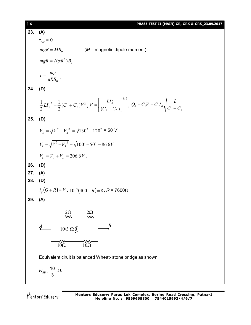| 6 <sub>1</sub> | PHASE TEST-II (MAIN) GR, GRK & GRS_23.09.2017                                                                                                      |
|----------------|----------------------------------------------------------------------------------------------------------------------------------------------------|
| 23.            | (A)                                                                                                                                                |
|                | $\tau_{\text{net}} = 0$                                                                                                                            |
|                | $mgR = MB_0$ ( <i>M</i> = magnetic dipole moment)                                                                                                  |
|                | $mgR = I(\pi R^2)B_0$                                                                                                                              |
|                | $I = \frac{mg}{\pi R B_0}.$                                                                                                                        |
|                | 24. (D)                                                                                                                                            |
|                | $\frac{1}{2}LI_0^2 = \frac{1}{2}(C_1 + C_2)V^2, V = \left[\frac{LI_0^2}{(C_1 + C_2)}\right]^{1/2}, Q_1 = C_1V = C_1I_0\sqrt{\frac{L}{C_1 + C_2}}.$ |
| 25.            | (D)                                                                                                                                                |
|                | $V_p = \sqrt{V^2 - V_p^2} = \sqrt{130^2 - 120^2} = 50$ V                                                                                           |
|                | $V_1 = \sqrt{V_1^2 - V_2^2} = \sqrt{100^2 - 50^2} = 86.6V$                                                                                         |
|                | $V_c = V_2 + V_L = 206.6V$ .                                                                                                                       |
| 26.            | (D)                                                                                                                                                |
| 27.            | (A)                                                                                                                                                |
| 28.            | (D)                                                                                                                                                |
|                | $i_g(G+R)=V$ , $10^{-3}(400+R)=8$ , $R=7600\Omega$                                                                                                 |
| 29.            | (A)                                                                                                                                                |
|                | $2\Omega$<br>$2\Omega$<br><b>ww</b><br>ww-                                                                                                         |
|                | $\boldsymbol{B}$<br>$\boldsymbol{A}$<br>$10/3 \Omega$                                                                                              |
|                |                                                                                                                                                    |
|                | $\frac{1}{100}$<br>٨W<br>$10\Omega$                                                                                                                |
|                | Equivalent ciruit is balanced Wheat-stone bridge as shown                                                                                          |
|                | $R_{AB} = \frac{10}{3} \Omega$ .                                                                                                                   |
|                |                                                                                                                                                    |
|                |                                                                                                                                                    |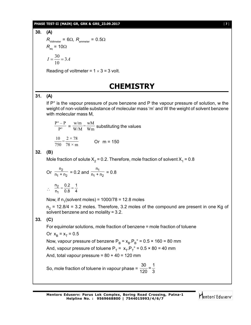#### **PHASE TEST-II (MAIN) GR, GRK & GRS\_23.09.2017** [ **7** ]

(A)  
\n
$$
R_{\text{Voltmeter}} = 6\Omega, R_{\text{ammeter}} = 0.5\Omega
$$
\n
$$
R_{\text{eq}} = 10\Omega
$$
\n
$$
I = \frac{30}{10} = 3A
$$

Reading of voltmeter =  $1 \times 3 = 3$  volt.

# **CHEMISTRY**

#### **31. (A)**

**30. (A)**

If P° is the vapour pressure of pure benzene and P the vapour pressure of solution, w the weight of non-volatile substance of molecular mass 'm' and W the weight of solvent benzene with molecular mass M,

$$
\frac{P^{\circ} - P}{P^{\circ}} = \frac{w/m}{W/M} = \frac{wM}{Wm}
$$
 substituting the values

$$
\frac{10}{750} = \frac{2 \times 78}{78 \times m}
$$
 Or m = 150

#### **32. (B)**

Mole fraction of solute X $_2$  = 0.2. Therefore, mole fraction of solvent X $_1$  = 0.8

Or 
$$
\frac{n_2}{n_1 + n_2} = 0.2
$$
 and  $\frac{n_1}{n_1 + n_2} = 0.8$   
\n
$$
\therefore \frac{n_2}{n_1} = \frac{0.2}{0.8} = \frac{1}{4}
$$

Now, if  $n_1$ (solvent moles) = 1000/78 = 12.8 moles

 $n_{2}$  = 12.8/4 = 3.2 moles. Therefore, 3.2 moles of the compound are present in one Kg of solvent benzene and so molality = 3.2.

### **33. (C)**

For equimolar solutions, mole fraction of benzene = mole fraction of toluene

Or 
$$
x_B = x_T = 0.5
$$

Now, vapour pressure of benzene P $_{\rm B}$  =  $\rm{x_{\rm B}}$ . $\rm{P_{\rm B}}^{\circ}$  = 0.5 × 160 = 80 mm And, vapour pressure of toluene P $_{\sf T}$  =  $\;$  x $_{\sf T}$ .P $_{\sf T}^{\circ}$  = 0.5 × 80 = 40 mm

And, total vapour pressure =  $80 + 40 = 120$  mm

So, mole fraction of toluene in vapour phase =  $\frac{30}{20} = \frac{1}{2}$ 120 3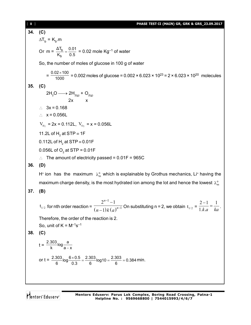**34. (C)**  $\Delta$ T<sub>b</sub> = K<sub>b</sub>.m Or m =  $\frac{\Delta I_b}{I}$ b ΔT<sub>b</sub> 0.01  $\frac{X_{1b}}{K_b} = \frac{0.01}{0.5}$  = 0.02 mole Kg<sup>-1</sup> of water So, the number of moles of glucose in 100 g of water  $=\frac{0.02\times100}{1000}$ 1000  $\frac{\times 100}{100}$  = 0.002 moles of glucose = 0.002 × 6.023 × 10<sup>23</sup> = 2 × 6.023 × 10<sup>20</sup> molecules **35. (C)**  $2H_2O \longrightarrow 2H_{2(g)} + O_{2(g)}$  $2x$  $\therefore$  3x = 0.168  $\therefore$  x = 0.056L  $V_{H_2}$  = 2x = 0.112L,  $V_{O_2}$  = x = 0.056L 11.2L of  $H<sub>2</sub>$  at STP  $\equiv$  1F 0.112L of  $\mathsf{H}_{_2}$  at STP  $\equiv$  0.01F 0.056L of  $\mathrm{O}_2$  at STP = 0.01F  $\therefore$  The amount of electricity passed = 0.01F = 965C **36. (D)** H<sup>+</sup> ion has the maximum  $\lambda_m^{\circ}$  which is explainable by Grothus mechanics, Li<sup>+</sup> having the maximum charge density, is the most hydrated ion among the lot and hence the lowest  $\lambda_{\sf m}^{\sf o}$ **37. (B)**  $t_{1/2}$  for nth order reaction =  $\frac{1}{(n-1)k(a)}$ 1 1  $2^{n-1} - 1$ 1 *n*  $(n-1)k(a)^n$  $\overline{a}$ -- $\frac{1}{\left(1-\frac{1}{k}\right)k\left(a\right)^{n-1}}$  On substituting n = 2, we obtain  $t_{1/2}$  =  $2 - 1$  1 1. . *k a ka*  $\frac{-1}{1} = \frac{1}{1}$ . Therefore, the order of the reaction is 2. So, unit of  $K = M^{-1}s^{-1}$ **38. (C)**  $t = \frac{2.303}{k} \log \frac{a}{2}$  $k$   $a-x$ or t =  $\frac{2.303}{6}$ log $\frac{6 \times 0.5}{0.3}$  =  $\frac{2.303}{6}$ log 10 =  $\frac{2.303}{6}$  = 0.384  $\frac{\times 0.5}{2.8} = \frac{2.303}{2}$ log 10 =  $\frac{2.303}{2}$  = 0.384 min.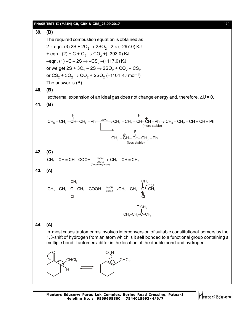#### **PHASE TEST-II (MAIN) GR, GRK & GRS\_23.09.2017** [ **9** ]

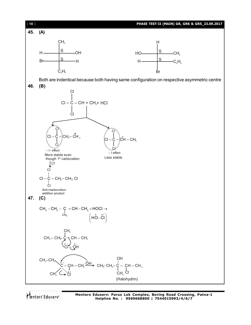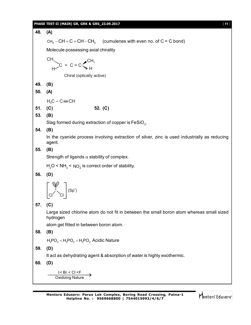|     | PHASE TEST-II (MAIN) GR, GRK & GRS_23.09.2017<br>$[11]$                                                       |
|-----|---------------------------------------------------------------------------------------------------------------|
| 48. | (A)                                                                                                           |
|     | $CH_3 - CH = C = CH - CH_3$ (cumulenes with even no. of C = C bond)                                           |
|     | Molecule possessing axial chirality                                                                           |
|     |                                                                                                               |
|     | $CH3$<br>$H > C = C = C$<br>$CH3$                                                                             |
|     | Chiral (optically active)                                                                                     |
| 49. | (B)                                                                                                           |
| 50. | (A)                                                                                                           |
|     | $H_3C - C \equiv CH$                                                                                          |
| 51. | (C)<br>52. (C)                                                                                                |
| 53. | (B)                                                                                                           |
|     | Slag formed during extraction of copper is $FeSiO3$ .                                                         |
| 54. | (B)<br>In the cyanide process involving extraction of silver, zinc is used industrially as reducing<br>agent. |
| 55. | (B)                                                                                                           |
|     | Strength of ligands $\alpha$ stability of complex.                                                            |
|     | $H2O < NH3 < NO2$ is correct order of stability.                                                              |
| 56. | (D)                                                                                                           |
|     | $\Big( {\rm Sp}^3)$                                                                                           |
| 57. | (C)                                                                                                           |
|     | Large sized chlorine atom do not fit in between the small boron atom whereas small sized<br>hydrogen          |
|     | atom get fitted in between boron atom.                                                                        |
| 58. | (B)                                                                                                           |
|     | $H_3PO_4 < H_3PO_3 < H_3PO_2$ Acidic Nature                                                                   |
| 59. | (D)                                                                                                           |
|     | It act as dehydrating agent & absorption of water is highly exothermic.                                       |
| 60. | (D)                                                                                                           |
|     | I < Br < Cl < F<br><b>Oxidizing Nature</b>                                                                    |

**Mentors Eduserv: Parus Lok Complex, Boring Road Crossing, Patna-1**

**Helpline No. : 9569668800 | 7544015993/4/6/7**

Mentors<sup>\*</sup> Eduserv<sup>-</sup>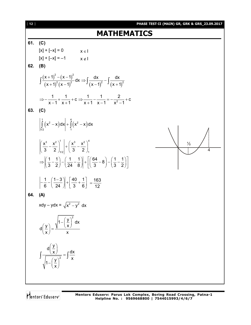4

## **MATHEMATICS**

#### **61. (C)**

 $[x] + [-x] = 0$   $x \in I$  $[x] + [-x] = -1$   $x \notin I$ **62. (B)**  $(x+1)^{-} - (x-1)^{-}$  $(x+1)^{2}(x-1)^{2}$   $(x-1)^{2}(x+1)^{3}$ 2  $(1)^2$  $\int \frac{dx+1^2-(x-1)^2}{(x-1)^2} dx \Rightarrow \int \frac{dx}{(x-1)^2} dx$  $(x+1)^{2}(x-1)^{2}$   $(x-1)^{2}$   $(x+1)^{3}$  $\frac{(+1)^2-(x-1)^2}{x^2-x^2}$ dx  $\Rightarrow$   $\int \frac{dx}{(x-x^2-x^2)}$  $\int \frac{(x+1)^2 (x-1)^2}{(x+1)^2 (x-1)^2} dx \Rightarrow \int \frac{dx}{(x-1)^2} - \int \frac{dx}{(x+1)^2}$ 2  $\frac{1}{2} + \frac{1}{2} + c \Rightarrow \frac{1}{2} - \frac{1}{2} = -\frac{2}{2} + c$  $x-1$   $x+1$   $x+1$   $x-1$   $x^2-1$  $\Rightarrow$   $-\frac{1}{2}$  +  $\frac{1}{2}$  + C  $\Rightarrow$   $\frac{1}{2}$   $-\frac{1}{2}$  =  $-\frac{2}{2}$  + C  $-1$  x + 1 x + 1 x - 1 x<sup>2</sup> - 1 **63. (C)**  $(x^2 - x) dx$  +  $(x^2 - x)$  $\int_{1}^{1} (y^2 - y) dy \bigg|_{1}^{4} \int_{1}^{4} (y^2 - y) dy$  $\int_{1/2}^1 (x^2 - x) dx + \int_{1}^1 (x^2 - x) dx$ ½ 3  $x^2$   $\begin{array}{|c|c|c|c|c|} \hline 1 & 3 & x^2 \end{array}$  $1/2$   $\sqrt{2}$   $-71$  $\mathsf{x}^3$   $\mathsf{x}^2$  |  $\mathsf{x}^3$   $\mathsf{x}^2$  $\left(\frac{x^3}{3} - \frac{x^2}{2}\right)_{12} + \left(\frac{x^3}{3} - \frac{x^2}{2}\right)_{12}$  $\left[\frac{1}{2}, \frac{1}{2}\right] - \left[\frac{1}{2}, \frac{1}{2}\right] + \left[\frac{64}{2}, -8\right] - \left[\frac{1}{2}, \frac{1}{2}\right]$ 3 2  $(24 \t 8)$   $(3 \t 3 \t 2)$  $(3 \t2)_{1/2} (3 \t2)_{1}$  $\Rightarrow \left(\frac{1}{3} - \frac{1}{2}\right) - \left(\frac{1}{24} - \frac{1}{8}\right) + \left[\left(\frac{64}{3} - 8\right) - \left(\frac{1}{3} - \frac{1}{2}\right)\right]$  $1 (1 - 3) | 40 1$ 6 (24 )| [3 6]  $-\frac{1}{6} - \left(\frac{1-3}{24}\right) + \left[\frac{40}{3} + \frac{1}{6}\right] = \frac{163}{12}$ 12  $=$ **64. (A)** xdy – ydx =  $\sqrt{x^2 - y^2}$  dx  $1 - \left(\frac{y}{x}\right)^2 dx$  $d\left(\frac{y}{x}\right) = \frac{y}{x}$  $x$  x  $(y)$   $\sqrt{1-\left(\frac{y}{x}\right)^2}$  $\left(\frac{y}{x}\right)$  = 2  $d\left(\frac{y}{x}\right)$  dx  $\left( \frac{y}{1-\frac{y}{y}} \right)^2$  y x  $\frac{\left(\frac{y}{x}\right)}{x}$  =  $-\left(\frac{y}{x}\right)^{2}$  $\int \frac{\langle x \rangle}{\sqrt{2}} = \int \frac{dx}{x}$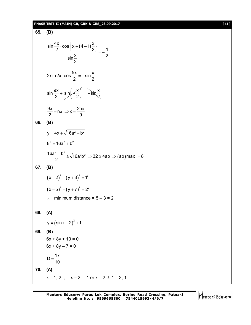#### **PHASE TEST-II (MAIN) GR, GRK & GRS\_23.09.2017** [ **13** ]

65. (B)  
\n
$$
\frac{\sin \frac{4x}{2} \cdot \cos \left\{ x + (4-1) \frac{x}{2} \right\}}{\sin \frac{x}{2}} = -\frac{1}{2}
$$
\n2 sin 2x · cos  $\frac{5x}{2} = -\sin \frac{x}{2}$   
\n
$$
\sin \frac{9x}{2} + \sin \left( -\frac{x}{2} \right) = -\sin \frac{x}{2}
$$
\n
$$
\frac{9x}{2} = n\pi \Rightarrow x = \frac{2n\pi}{9}
$$
\n66. (B)  
\n
$$
y = 4x + \sqrt{16a^2 + b^2}
$$
\n
$$
8^2 = 16a^2 + b^2
$$
\n
$$
\frac{16a^2 + b^2}{2} \Rightarrow \sqrt{16a^2b^2} \Rightarrow 32 \ge 4ab \Rightarrow (ab) max = 8
$$
\n67. (B)  
\n
$$
(x - 2)^2 + (y + 3)^2 = 1^2
$$
\n
$$
(x - 5)^2 + (y + 7)^2 = 2^2
$$
\n
$$
\therefore \text{ minimum distance } = 5 - 3 = 2
$$
\n68. (A)  
\n
$$
y = (\sin x - 2)^2 + 1
$$
\n69. (B)  
\n
$$
6x + 8y + 10 = 0
$$
\n
$$
6x + 8y + 10 = 0
$$
\n
$$
D = \frac{17}{10}
$$
\n70. (A)  
\n
$$
x = 1, 2, |x - 2| = 1 \text{ or } x = 2 \pm 1 = 3, 1
$$

Mentors<sup>e</sup> Eduserv<sup>-</sup>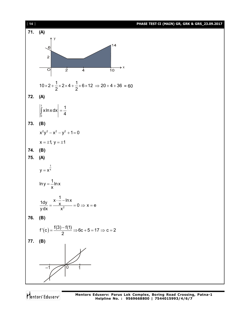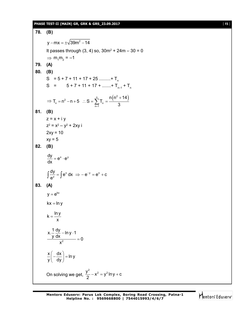#### **PHASE TEST-II (MAIN) GR, GRK & GRS\_23.09.2017** [ **15** ]

**78. (B)** y – mx =  $\pm\sqrt{39}$ m $^2$  – 14 It passes through  $(3, 4)$  so,  $30m^2 + 24m - 30 = 0$  $\Rightarrow$  m<sub>1</sub>m<sub>2</sub> = -1 **79. (A) 80. (B)**  $S = 5 + 7 + 11 + 17 + 25$  .........+ T<sub>n</sub> S = 5 + 7 + 11 + 17 + .......+ T<sub>n-1</sub> + T<sub>n</sub> ⇒ T<sub>n</sub> = n<sup>2</sup> - n + 5 ∴ S =  $\sum_{n=1}^{n}$  T<sub>n</sub> =  $\frac{n(n^2 + 14)}{3}$  $n(n^2 + 14)$  $T_n = n^2 - n + 5$  :  $S = \sum T_n$  $\frac{3}{2}$  m 3  $= n^2 - n + 5$  :  $S = \sum_{n=1}^{n} T_n = \frac{n(n^2 + n)}{3}$ **81. (B)**  $z = x + iy$ z<sup>2</sup> = x<sup>2</sup> – y<sup>2</sup> + 2xy i  $2xy = 10$  $xy = 5$ **82. (B)**  $\frac{dy}{dx} = e^{x} \cdot e^{y}$ dx  $= e^{x} \cdot e$  $x + y = 0$   $y = 0$  $\frac{dy}{dx} = \int e^x dx \implies -e^{-y} = e^x + c$ e  $\int \frac{dy}{e^y} = \int e^x dx \implies -e^{-y} = e^x + c$ **83. (A)**  $y = e^{kx}$  $kx = ln y$  $k = \frac{\ln y}{ }$ x  $=$ 2 x.  $\frac{1}{1}$  dy – ln y  $\cdot$  1  $\frac{y \, dx}{2} = 0$ x – In y · 1  $=$  $\frac{x}{a} \left( -\frac{dx}{b} \right) = \ln y$  $\frac{x}{y} \left( -\frac{dx}{dy} \right) = 1$  $($  ay  $)$ On solving we get,  $\frac{y^2}{2} - x^2 = y^2 \ln y + c$ 2  $-x^2 = y^2 \ln y + c$